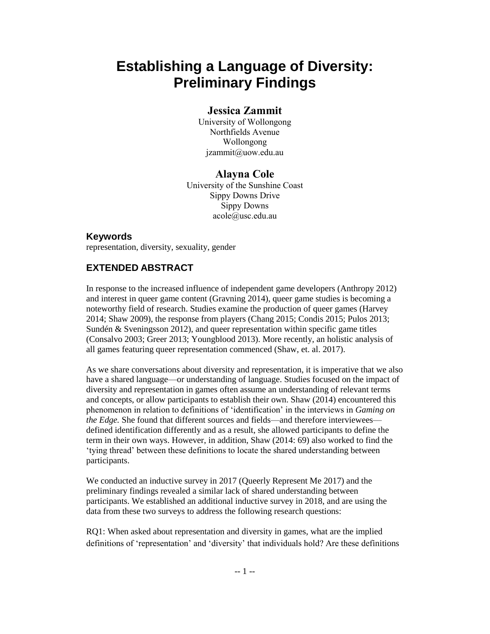# **Establishing a Language of Diversity: Preliminary Findings**

## **Jessica Zammit**

University of Wollongong Northfields Avenue Wollongong jzammit@uow.edu.au

## **Alayna Cole**

University of the Sunshine Coast Sippy Downs Drive Sippy Downs acole@usc.edu.au

### **Keywords**

representation, diversity, sexuality, gender

# **EXTENDED ABSTRACT**

In response to the increased influence of independent game developers (Anthropy 2012) and interest in queer game content (Gravning 2014), queer game studies is becoming a noteworthy field of research. Studies examine the production of queer games (Harvey 2014; Shaw 2009), the response from players (Chang 2015; Condis 2015; Pulos 2013; Sundén & Sveningsson 2012), and queer representation within specific game titles (Consalvo 2003; Greer 2013; Youngblood 2013). More recently, an holistic analysis of all games featuring queer representation commenced (Shaw, et. al. 2017).

As we share conversations about diversity and representation, it is imperative that we also have a shared language—or understanding of language. Studies focused on the impact of diversity and representation in games often assume an understanding of relevant terms and concepts, or allow participants to establish their own. Shaw (2014) encountered this phenomenon in relation to definitions of 'identification' in the interviews in *Gaming on the Edge.* She found that different sources and fields—and therefore interviewees defined identification differently and as a result, she allowed participants to define the term in their own ways. However, in addition, Shaw (2014: 69) also worked to find the 'tying thread' between these definitions to locate the shared understanding between participants.

We conducted an inductive survey in 2017 (Queerly Represent Me 2017) and the preliminary findings revealed a similar lack of shared understanding between participants. We established an additional inductive survey in 2018, and are using the data from these two surveys to address the following research questions:

RQ1: When asked about representation and diversity in games, what are the implied definitions of 'representation' and 'diversity' that individuals hold? Are these definitions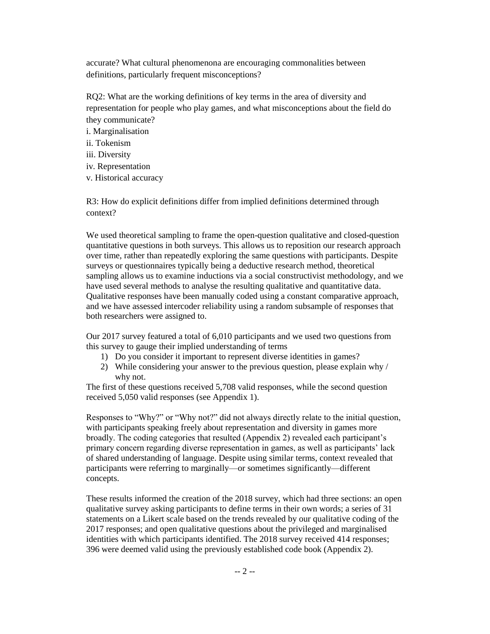accurate? What cultural phenomenona are encouraging commonalities between definitions, particularly frequent misconceptions?

RQ2: What are the working definitions of key terms in the area of diversity and representation for people who play games, and what misconceptions about the field do they communicate?

i. Marginalisation

- ii. Tokenism
- iii. Diversity
- iv. Representation
- v. Historical accuracy

R3: How do explicit definitions differ from implied definitions determined through context?

We used theoretical sampling to frame the open-question qualitative and closed-question quantitative questions in both surveys. This allows us to reposition our research approach over time, rather than repeatedly exploring the same questions with participants. Despite surveys or questionnaires typically being a deductive research method, theoretical sampling allows us to examine inductions via a social constructivist methodology, and we have used several methods to analyse the resulting qualitative and quantitative data. Qualitative responses have been manually coded using a constant comparative approach, and we have assessed intercoder reliability using a random subsample of responses that both researchers were assigned to.

Our 2017 survey featured a total of 6,010 participants and we used two questions from this survey to gauge their implied understanding of terms

- 1) Do you consider it important to represent diverse identities in games?
- 2) While considering your answer to the previous question, please explain why / why not.

The first of these questions received 5,708 valid responses, while the second question received 5,050 valid responses (see Appendix 1).

Responses to "Why?" or "Why not?" did not always directly relate to the initial question, with participants speaking freely about representation and diversity in games more broadly. The coding categories that resulted (Appendix 2) revealed each participant's primary concern regarding diverse representation in games, as well as participants' lack of shared understanding of language. Despite using similar terms, context revealed that participants were referring to marginally—or sometimes significantly—different concepts.

These results informed the creation of the 2018 survey, which had three sections: an open qualitative survey asking participants to define terms in their own words; a series of 31 statements on a Likert scale based on the trends revealed by our qualitative coding of the 2017 responses; and open qualitative questions about the privileged and marginalised identities with which participants identified. The 2018 survey received 414 responses; 396 were deemed valid using the previously established code book (Appendix 2).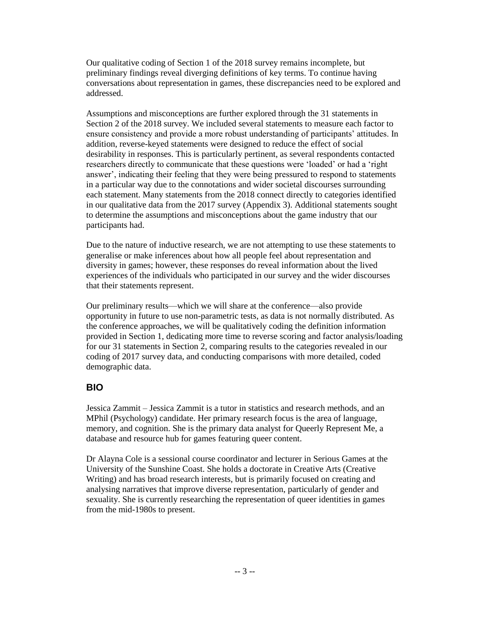Our qualitative coding of Section 1 of the 2018 survey remains incomplete, but preliminary findings reveal diverging definitions of key terms. To continue having conversations about representation in games, these discrepancies need to be explored and addressed.

Assumptions and misconceptions are further explored through the 31 statements in Section 2 of the 2018 survey. We included several statements to measure each factor to ensure consistency and provide a more robust understanding of participants' attitudes. In addition, reverse-keyed statements were designed to reduce the effect of social desirability in responses. This is particularly pertinent, as several respondents contacted researchers directly to communicate that these questions were 'loaded' or had a 'right answer', indicating their feeling that they were being pressured to respond to statements in a particular way due to the connotations and wider societal discourses surrounding each statement. Many statements from the 2018 connect directly to categories identified in our qualitative data from the 2017 survey (Appendix 3). Additional statements sought to determine the assumptions and misconceptions about the game industry that our participants had.

Due to the nature of inductive research, we are not attempting to use these statements to generalise or make inferences about how all people feel about representation and diversity in games; however, these responses do reveal information about the lived experiences of the individuals who participated in our survey and the wider discourses that their statements represent.

Our preliminary results—which we will share at the conference—also provide opportunity in future to use non-parametric tests, as data is not normally distributed. As the conference approaches, we will be qualitatively coding the definition information provided in Section 1, dedicating more time to reverse scoring and factor analysis/loading for our 31 statements in Section 2, comparing results to the categories revealed in our coding of 2017 survey data, and conducting comparisons with more detailed, coded demographic data.

#### **BIO**

Jessica Zammit – Jessica Zammit is a tutor in statistics and research methods, and an MPhil (Psychology) candidate. Her primary research focus is the area of language, memory, and cognition. She is the primary data analyst for Queerly Represent Me, a database and resource hub for games featuring queer content.

Dr Alayna Cole is a sessional course coordinator and lecturer in Serious Games at the University of the Sunshine Coast. She holds a doctorate in Creative Arts (Creative Writing) and has broad research interests, but is primarily focused on creating and analysing narratives that improve diverse representation, particularly of gender and sexuality. She is currently researching the representation of queer identities in games from the mid-1980s to present.